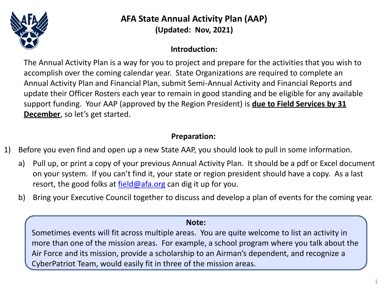

**AFA State Annual Activity Plan (AAP) (Updated: Nov, 2021)**

# **Introduction:**

The Annual Activity Plan is a way for you to project and prepare for the activities that you wish to accomplish over the coming calendar year. State Organizations are required to complete an Annual Activity Plan and Financial Plan, submit Semi-Annual Activity and Financial Reports and update their Officer Rosters each year to remain in good standing and be eligible for any available support funding. Your AAP (approved by the Region President) is **due to Field Services by 31 December**, so let's get started.

## **Preparation:**

- 1) Before you even find and open up a new State AAP, you should look to pull in some information.
	- a) Pull up, or print a copy of your previous Annual Activity Plan. It should be a pdf or Excel document on your system. If you can't find it, your state or region president should have a copy. As a last resort, the good folks at  $field@afa.org$  can dig it up for you.
	- b) Bring your Executive Council together to discuss and develop a plan of events for the coming year.

## **Note:**

Sometimes events will fit across multiple areas. You are quite welcome to list an activity in more than one of the mission areas. For example, a school program where you talk about the Air Force and its mission, provide a scholarship to an Airman's dependent, and recognize a CyberPatriot Team, would easily fit in three of the mission areas.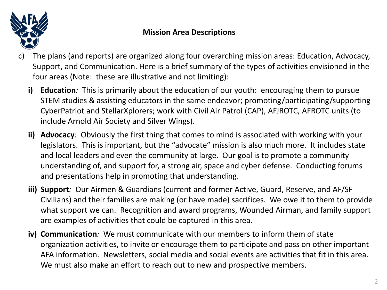

# **Mission Area Descriptions**

- c) The plans (and reports) are organized along four overarching mission areas: Education, Advocacy, Support, and Communication. Here is a brief summary of the types of activities envisioned in the four areas (Note: these are illustrative and not limiting):
	- **i) Education***:* This is primarily about the education of our youth: encouraging them to pursue STEM studies & assisting educators in the same endeavor; promoting/participating/supporting CyberPatriot and StellarXplorers; work with Civil Air Patrol (CAP), AFJROTC, AFROTC units (to include Arnold Air Society and Silver Wings).
	- **ii) Advocacy***:* Obviously the first thing that comes to mind is associated with working with your legislators. This is important, but the "advocate" mission is also much more. It includes state and local leaders and even the community at large. Our goal is to promote a community understanding of, and support for, a strong air, space and cyber defense. Conducting forums and presentations help in promoting that understanding.
	- **iii) Support***:* Our Airmen & Guardians (current and former Active, Guard, Reserve, and AF/SF Civilians) and their families are making (or have made) sacrifices. We owe it to them to provide what support we can. Recognition and award programs, Wounded Airman, and family support are examples of activities that could be captured in this area.
	- **iv) Communication***:* We must communicate with our members to inform them of state organization activities, to invite or encourage them to participate and pass on other important AFA information. Newsletters, social media and social events are activities that fit in this area. We must also make an effort to reach out to new and prospective members.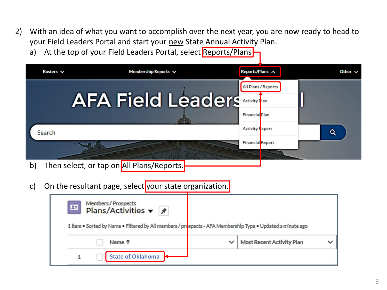- 2) With an idea of what you want to accomplish over the next year, you are now ready to head to your Field Leaders Portal and start your new State Annual Activity Plan.
	- a) At the top of your Field Leaders Portal, select Reports/Plans

| Rosters $\vee$ | Membership Reports $\vee$ | Reports/Plans A                       | Other $\vee$ |
|----------------|---------------------------|---------------------------------------|--------------|
|                | <b>AFA Field Leaders</b>  | All Plans / Reports<br>Financial Plan |              |
| Search         |                           | <b>Activity Feport</b>                | $\alpha$     |
|                |                           | <b>Financial</b> Report               |              |

- b) Then select, or tap on All Plans/Reports.
- c) On the resultant page, select your state organization.

| $\mathbf{E}$ | Members/Prospects<br>Plans/Activities ▼ ヌ                                                                  |                           |  |
|--------------|------------------------------------------------------------------------------------------------------------|---------------------------|--|
|              | 1 item . Sorted by Name . Filtered by All members / prospects - AFA Membership Type . Updated a minute ago |                           |  |
|              | Name <sup>T</sup>                                                                                          | Most Recent Activity Plan |  |
|              | <b>State of Oklahoma</b>                                                                                   |                           |  |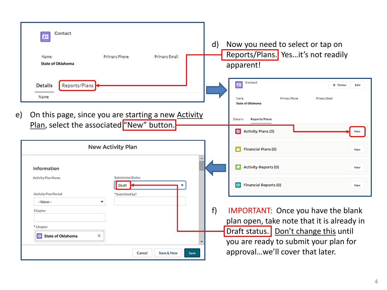| Contact<br>27<br>Name<br><b>State of Oklahoma</b> | Primary Phone<br>Primary Email                                                                          | $\mathsf{d}$ | Now you need to select or tap on<br>Reports/Plans. Yesit's not readily<br>apparent!            |            |
|---------------------------------------------------|---------------------------------------------------------------------------------------------------------|--------------|------------------------------------------------------------------------------------------------|------------|
| Reports/Plans<br><b>Details</b><br>Name           |                                                                                                         |              | Contact<br>四<br>+ Follow<br>Primary Phone<br>Primary Email<br>Name<br><b>State of Oklahoma</b> | Edit       |
| e)                                                | On this page, since you are starting a new <b>Activity</b><br>Plan, select the associated "New" button. |              | Details<br><b>Reports/Plans</b><br>Activity Plans (0)                                          |            |
|                                                   | New Activity Plan                                                                                       |              | <b>Financial Plans (0)</b><br>œ.                                                               | <b>New</b> |
|                                                   |                                                                                                         |              |                                                                                                | <b>New</b> |
| Information                                       |                                                                                                         |              | <b>Activity Reports (0)</b>                                                                    |            |
| <b>Activity Plan Name</b><br>Activity Plan Period | <b>Submission Status</b><br>Draft<br>*Submitted by?                                                     |              | <b>Financial Reports (0)</b><br>$\bullet$                                                      | <b>New</b> |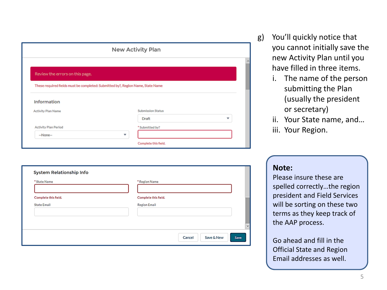|                                 | New Activity Plan                                                               |   |
|---------------------------------|---------------------------------------------------------------------------------|---|
|                                 |                                                                                 |   |
| Review the errors on this page. |                                                                                 |   |
|                                 | These required fields must be completed: Submitted by?, Region Name, State Name |   |
| <b>Information</b>              |                                                                                 |   |
|                                 |                                                                                 |   |
| <b>Activity Plan Name</b>       | <b>Submission Status</b>                                                        |   |
|                                 | <b>Draft</b>                                                                    | ▼ |
| <b>Activity Plan Period</b>     | *Submitted by?                                                                  |   |

| * State Name         | * Region Name        |
|----------------------|----------------------|
| Complete this field. | Complete this field. |
| <b>State Email</b>   | <b>Region Email</b>  |
|                      |                      |
|                      |                      |

- g) You'll quickly notice that you cannot initially save the new Activity Plan until you have filled in three items.
	- i. The name of the person submitting the Plan (usually the president or secretary)
	- ii. Your State name, and… iii. Your Region.

### **Note:**

Please insure these are spelled correctly…the region president and Field Services will be sorting on these two terms as they keep track of the AAP process.

Go ahead and fill in the Official State and Region Email addresses as well.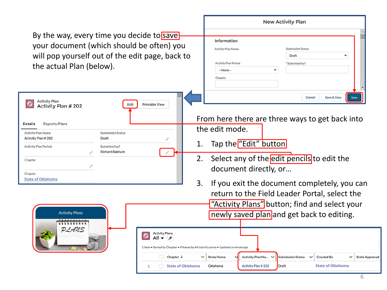|                                                                                                                                                                                                                                                                                            |                                                                                                                                                                                                                              | New Activity Plan                                                                                                                                                                                                                                                                  |                                                                                       |
|--------------------------------------------------------------------------------------------------------------------------------------------------------------------------------------------------------------------------------------------------------------------------------------------|------------------------------------------------------------------------------------------------------------------------------------------------------------------------------------------------------------------------------|------------------------------------------------------------------------------------------------------------------------------------------------------------------------------------------------------------------------------------------------------------------------------------|---------------------------------------------------------------------------------------|
| By the way, every time you decide to save<br>your document (which should be often) you<br>will pop yourself out of the edit page, back to<br>the actual Plan (below).                                                                                                                      |                                                                                                                                                                                                                              | Information<br>Submission Status<br><b>Activity Plan Name</b><br>Draft<br>Activity Plan Period<br>*Submitted by?<br>--None--<br>٠<br>Chapter                                                                                                                                       |                                                                                       |
| <b>Activity Plan</b><br>O<br>Edit<br>Activity Plan # 202<br>Reports/Plans<br>Details<br>Activity Plan Name<br>Submission Status<br>Activity Plan #202<br>Draft<br><b>Activity Plan Period</b><br>Submitted by?<br><b>Richard Baldwin</b><br>Chapter<br>Chapter<br><b>State of Oklahoma</b> | <b>Printable View</b><br>1.<br>2.<br>3.                                                                                                                                                                                      | Cancel<br>From here there are three ways to get back into<br>the edit mode.<br>Tap the "Edit" button<br>Select any of the edit pencils to edit the<br>document directly, or<br>If you exit the document completely, you can                                                        | Save & New<br>Save                                                                    |
| <b>Activity Plans</b><br>PLANS                                                                                                                                                                                                                                                             | <b>Activity Plans</b><br>$\circledcirc$<br>All $\blacktriangledown$   $\star$<br>1 item . Sorted by Chapter . Filtered by All activity plans . Updated a minute ago<br>Chapter $\downarrow$<br><b>State of Oklahoma</b><br>1 | return to the Field Leader Portal, select the<br>"Activity Plans" button; find and select your<br>newly saved plan and get back to editing.<br><b>State Name</b><br>Activity Plan Na<br><b>Submission Status</b><br>$\checkmark$<br>Draft<br>Oklahoma<br><b>Activity Plan #202</b> | <b>Created By</b><br><b>State Approved</b><br>$\check{ }$<br><b>State of Oklahoma</b> |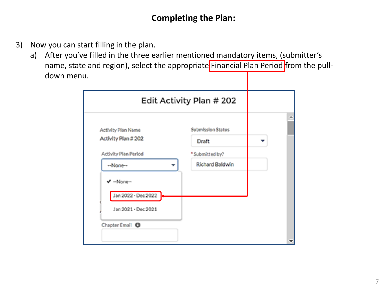# **Completing the Plan:**

- 3) Now you can start filling in the plan.
	- a) After you've filled in the three earlier mentioned mandatory items, (submitter's name, state and region), select the appropriate Financial Plan Period from the pulldown menu.

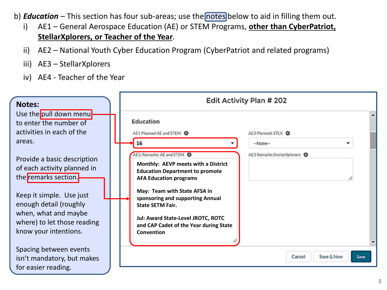- b) *Education* This section has four sub-areas; use the notes below to aid in filling them out.
	- i) AE1 General Aerospace Education (AE) or STEM Programs, **other than CyberPatriot, StellarXplorers, or Teacher of the Year**.
	- ii) AE2 National Youth Cyber Education Program (CyberPatriot and related programs)
	- iii) AE3 StellarXplorers
	- iv) AE4 Teacher of the Year

| <b>Notes:</b>                                                                                             | Edit Activity Plan # 202                                                                                                                                                              |      |
|-----------------------------------------------------------------------------------------------------------|---------------------------------------------------------------------------------------------------------------------------------------------------------------------------------------|------|
| Use the pull down menu<br>to enter the number of<br>activities in each of the<br>areas.                   | Education<br>AE1 Planned AE and STEM O<br>AE3 Planned: STLX <b>O</b><br>16<br>--None--                                                                                                |      |
| Provide a basic description<br>of each activity planned in<br>the remarks section.                        | AE1: Remarks: AE and STEM O<br>AE3 Remarks StellarXplorers <b>O</b><br>Monthly: AEVP meets with a District<br><b>Education Department to promote</b><br><b>AFA Education programs</b> |      |
| Keep it simple. Use just<br>enough detail (roughly<br>when, what and maybe<br>where) to let those reading | May: Team with State AFSA in<br>sponsoring and supporting Annual<br><b>State SETM Fair.</b><br>Jul: Award State-Level JROTC, ROTC<br>and CAP Cadet of the Year during State           |      |
| know your intentions.<br>Spacing between events<br>isn't mandatory, but makes                             | Convention<br>Save & New<br>Cancel                                                                                                                                                    | Save |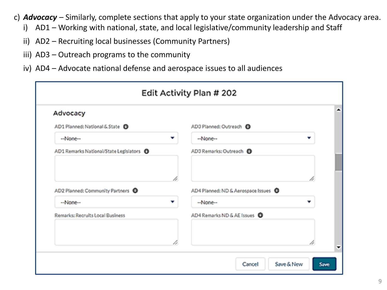- c) *Advocacy* Similarly, complete sections that apply to your state organization under the Advocacy area.
	- i) AD1 Working with national, state, and local legislative/community leadership and Staff
	- ii) AD2 Recruiting local businesses (Community Partners)
	- iii) AD3 Outreach programs to the community
	- iv) AD4 Advocate national defense and aerospace issues to all audiences

| Advocacy                                            |    |                                      |    |
|-----------------------------------------------------|----|--------------------------------------|----|
| AD1 Planned: National & State 1                     |    | AD3 Planned: Outreach <b>O</b>       |    |
| --None--                                            | ÷  | --None--                             | ÷  |
| AD1 Remarks National/State Legislators <sup>@</sup> |    | AD3 Remarks: Outreach @              |    |
|                                                     | b. |                                      | B. |
| AD2 Planned: Community Partners <sup>1</sup>        |    | AD4 Planned: ND & Aerospace Issues @ |    |
| --None--                                            | ÷  | -Neme-                               | v  |
| Remarks: Recruits Local Rusloess                    |    | AD4 Remarks ND & AE Issues 0         |    |
|                                                     | b. |                                      | 4  |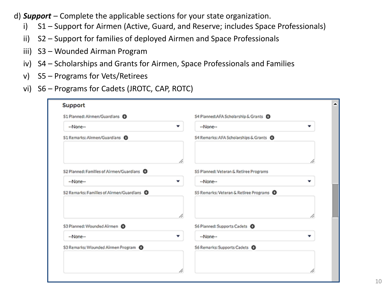- d) *Support* Complete the applicable sections for your state organization.
	- i) S1 Support for Airmen (Active, Guard, and Reserve; includes Space Professionals)
	- ii) S2 Support for families of deployed Airmen and Space Professionals
	- iii) S3 Wounded Airman Program
	- iv) S4 Scholarships and Grants for Airmen, Space Professionals and Families
	- v) S5 Programs for Vets/Retirees
	- vi) S6 Programs for Cadets (JROTC, CAP, ROTC)

| Support                                               |                                                  |    |
|-------------------------------------------------------|--------------------------------------------------|----|
| S1 Planned: Airmen/Guardians D                        | S4 Planned:AFA Scholarship & Grants <sup>O</sup> |    |
| --None--                                              | ۰<br>۰<br>--None--                               |    |
| 51 Remarks: Alrmen/Guardians                          | S4 Remarks: AFA Scholarships & Grants O          |    |
|                                                       | B.                                               | í. |
| 52 Planned: Families of Airmen/Guardians <b>D</b>     | S5 Planned: Veteran & Retiree Programs           |    |
| --None--                                              | --None--<br>۰                                    |    |
| 52 Remarks: Families of Alrmen/Guardians <sup>0</sup> | S5 Remarks: Veteran & Retiree Programs $\bullet$ |    |
| \$3 Planned: Wounded Airmen                           | í.<br>S6 Planned: Supports Cadets <sup>O</sup>   | í. |
| --None--                                              | --None--<br>▼                                    |    |
|                                                       |                                                  |    |
| \$3 Remarks: Wounded Airmen Program @                 | S6 Remarks: Supports Cadets <sup>O</sup>         |    |
|                                                       |                                                  |    |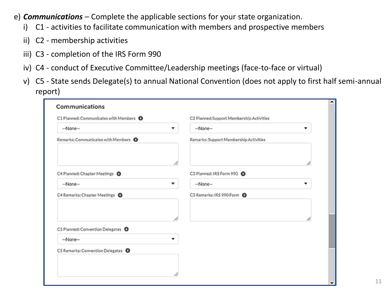- e) *Communications*  Complete the applicable sections for your state organization.
	- i) C1 activities to facilitate communication with members and prospective members
	- ii) C2 membership activities
	- iii) C3 completion of the IRS Form 990
	- iv) C4 conduct of Executive Committee/Leadership meetings (face-to-face or virtual)
	- v) C5 State sends Delegate(s) to annual National Convention (does not apply to first half semi-annual report)

| --None--<br>۰                                   | -None-<br>▼<br>Remarks: Support Membership Activities |
|-------------------------------------------------|-------------------------------------------------------|
| Remarks: Communicates with Members <sup>O</sup> |                                                       |
|                                                 |                                                       |
| p.                                              | b                                                     |
| C4 Planned: Chapter Meetings <sup>O</sup>       | C3 Planned: IRS Form 990                              |
| --None--<br>۰                                   | -None-<br>۰                                           |
| C4 Remarks: Chapter Meetings <sup>0</sup>       | C3 Remarks: IRS 990 Form                              |
| p.                                              | b                                                     |
| C5 Planned: Convention Delegates O              |                                                       |
| --None--<br>v                                   |                                                       |
| C5 Remarks: Convention Delegates O              |                                                       |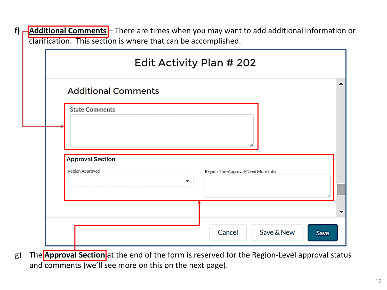|  | f) <b>-Additional Comments</b> - There are times when you may want to add additional information or |
|--|-----------------------------------------------------------------------------------------------------|
|  | clarification. This section is where that can be accomplished.                                      |

| <b>Additional Comments</b> |                                         |
|----------------------------|-----------------------------------------|
| <b>State Comments</b>      |                                         |
|                            |                                         |
|                            |                                         |
| <b>Approval Section</b>    |                                         |
| Region Approved            | Region Non-Approval/Need More Info<br>▼ |
|                            |                                         |

g) The **Approval Section** at the end of the form is reserved for the Region-Level approval status and comments (we'll see more on this on the next page).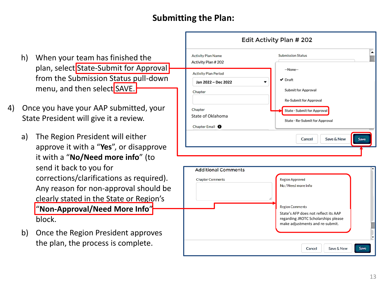# **Submitting the Plan:**

- h) When your team has finished the plan, select State-Submit for Approval from the Submission Status pull-down menu, and then select SAVE.
- 4) Once you have your AAP submitted, your State President will give it a review.
	- a) The Region President will either approve it with a "**Yes**", or disapprove it with a "**No/Need more info**" (to send it back to you for corrections/clarifications as required). Any reason for non-approval should be clearly stated in the State or Region's "**Non-Approval/Need More Info**" block.
	- b) Once the Region President approves the plan, the process is complete.



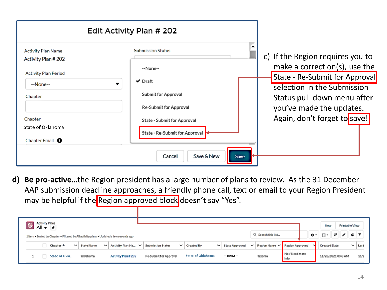| Edit Activity Plan # 202                        |                                                               |                                                                                        |
|-------------------------------------------------|---------------------------------------------------------------|----------------------------------------------------------------------------------------|
| <b>Activity Plan Name</b><br>Activity Plan #202 | <b>Submission Status</b>                                      | c) If the Region requires you to                                                       |
| <b>Activity Plan Period</b><br>--None--         | --None--<br>$\vee$ Draft                                      | make a correction(s), use the<br>State - Re-Submit for Approval                        |
| Chapter                                         | <b>Submit for Approval</b><br>Re-Submit for Approval          | selection in the Submission<br>Status pull-down menu after<br>you've made the updates. |
| Chapter<br>State of Oklahoma                    | State - Submit for Approval<br>State - Re-Submit for Approval | Again, don't forget to save!                                                           |
| Chapter Email <sup>6</sup>                      | Save & New<br>Cancel<br>Save                                  |                                                                                        |

**d) Be pro-active**…the Region president has a large number of plans to review. As the 31 December AAP submission deadline approaches, a friendly phone call, text or email to your Region President may be helpful if the Region approved block doesn't say "Yes".

| Activity Plans<br>All $\mathbf{v}$ $\mathbf{v}$<br>1 item . Sorted by Chapter . Filtered by All activity plans . Updated a few seconds ago |  |  |                      |                   |              |                     |                                           |                                                                                             |                          |  |                     |  |        |      |                     | Printable View<br>New |                    |              |      |  |      |
|--------------------------------------------------------------------------------------------------------------------------------------------|--|--|----------------------|-------------------|--------------|---------------------|-------------------------------------------|---------------------------------------------------------------------------------------------|--------------------------|--|---------------------|--|--------|------|---------------------|-----------------------|--------------------|--------------|------|--|------|
|                                                                                                                                            |  |  |                      |                   |              |                     |                                           |                                                                                             |                          |  | Q. Search this list |  |        | 意・   | 田・                  | c                     |                    | I C I T      |      |  |      |
|                                                                                                                                            |  |  | Chapter $\downarrow$ | $\vee$ State Name | $\checkmark$ |                     | Activity Plan Na $\vee$ Submission Status | $\vee$ Region Name $\vee$ Region Approved<br>$\vee$   Created By<br>$\vee$   State Approved |                          |  |                     |  |        |      | <b>Created Date</b> |                       |                    | $\checkmark$ | Last |  |      |
|                                                                                                                                            |  |  | State of Okla        | Oklahoma          |              | Activity Plan # 202 | Re-Submit for Approval                    |                                                                                             | <b>State of Oklahoma</b> |  | -- none --          |  | Texoma | info | No / Need more      |                       | 11/23/2021 8:43 AM |              |      |  | 11/2 |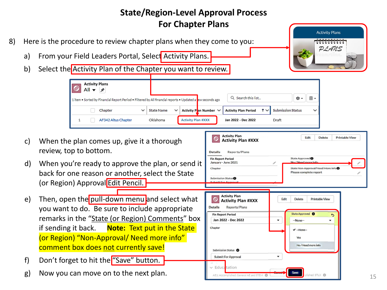#### **State/Region-Level Approval Process For Chapter Plans Activity Plans** 8) Here is the procedure to review chapter plans when they come to you: PLANS a) From your Field Leaders Portal, Select Activity Plans. b) Select the Activity Plan of the Chapter you want to review. **Activity Plans** All  $\blacktriangledown$ ⊣≠ Q Search this list... ŵ. 표. 1 item • Sorted by Financial Report Period • Filtered by All financial reports • Updated a <mark>r</mark>ew seconds ago Chapter **State Name Activity Plan Number Activity Plan PeriodSubmission Status Activity Plan #XXX Jan 2022 - Dec 2022** 1 AF342 Altus Chapter Oklahoma Draft **Activity Plan** Edit Delete **Printable View** c) When the plan comes up, give it a thorough **Activity Plan #XXX** review, top to bottom. Reports/Plans **Details Fin Report Period** State Approved<sup>®</sup> d) When you're ready to approve the plan, or send it State Non-Approval/Need More Info Chapter back for one reason or another, select the State Please complete report Submission Status<sup>®</sup> (or Region) Approval Edit Pencil. **Activity Plan** e) Then, open the pull-down menu and select what  $\circ$ Edit **Delete Printable View Activity Plan #XXX Details** Reports/Plans you want to do. Be sure to include appropriate State Approved <sup>O</sup> **Fin Report Period** ゥ remarks in the "State (or Region) Comments" box **Jan 2022 - Dec 2022** -None-if sending it back. **Note:** Text put in the State Chapter  $\blacktriangledown$  --None--(or Region) "Non-Approval/ Need more info" Yes No / Need more info comment box does not currently save! Submission Status <sup>6</sup> ۰ Submit For Approval f) Don't forget to hit the "Save" button. ∨ Educatation g) Now you can move on to the next plan. AE1: Accomplished: General AE and STEM  $\bigcirc$  $d:STIX$